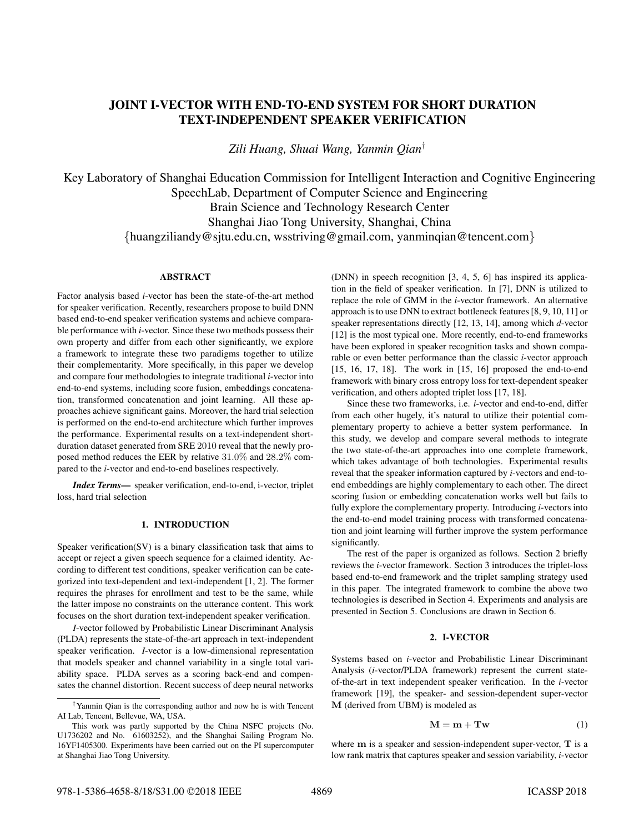# JOINT I-VECTOR WITH END-TO-END SYSTEM FOR SHORT DURATION TEXT-INDEPENDENT SPEAKER VERIFICATION

*Zili Huang, Shuai Wang, Yanmin Qian*†

Key Laboratory of Shanghai Education Commission for Intelligent Interaction and Cognitive Engineering SpeechLab, Department of Computer Science and Engineering Brain Science and Technology Research Center Shanghai Jiao Tong University, Shanghai, China {huangziliandy@sjtu.edu.cn, wsstriving@gmail.com, yanminqian@tencent.com}

# ABSTRACT

Factor analysis based *i*-vector has been the state-of-the-art method for speaker verification. Recently, researchers propose to build DNN based end-to-end speaker verification systems and achieve comparable performance with *i*-vector. Since these two methods possess their own property and differ from each other significantly, we explore a framework to integrate these two paradigms together to utilize their complementarity. More specifically, in this paper we develop and compare four methodologies to integrate traditional *i*-vector into end-to-end systems, including score fusion, embeddings concatenation, transformed concatenation and joint learning. All these approaches achieve significant gains. Moreover, the hard trial selection is performed on the end-to-end architecture which further improves the performance. Experimental results on a text-independent shortduration dataset generated from SRE 2010 reveal that the newly proposed method reduces the EER by relative 31.0% and 28.2% compared to the *i*-vector and end-to-end baselines respectively.

*Index Terms*— speaker verification, end-to-end, i-vector, triplet loss, hard trial selection

## 1. INTRODUCTION

Speaker verification(SV) is a binary classification task that aims to accept or reject a given speech sequence for a claimed identity. According to different test conditions, speaker verification can be categorized into text-dependent and text-independent [1, 2]. The former requires the phrases for enrollment and test to be the same, while the latter impose no constraints on the utterance content. This work focuses on the short duration text-independent speaker verification.

*I*-vector followed by Probabilistic Linear Discriminant Analysis (PLDA) represents the state-of-the-art approach in text-independent speaker verification. *I*-vector is a low-dimensional representation that models speaker and channel variability in a single total variability space. PLDA serves as a scoring back-end and compensates the channel distortion. Recent success of deep neural networks (DNN) in speech recognition [3, 4, 5, 6] has inspired its application in the field of speaker verification. In [7], DNN is utilized to replace the role of GMM in the *i*-vector framework. An alternative approach is to use DNN to extract bottleneck features [8, 9, 10, 11] or speaker representations directly [12, 13, 14], among which *d*-vector [12] is the most typical one. More recently, end-to-end frameworks have been explored in speaker recognition tasks and shown comparable or even better performance than the classic *i*-vector approach [15, 16, 17, 18]. The work in [15, 16] proposed the end-to-end framework with binary cross entropy loss for text-dependent speaker verification, and others adopted triplet loss [17, 18].

Since these two frameworks, i.e. *i*-vector and end-to-end, differ from each other hugely, it's natural to utilize their potential complementary property to achieve a better system performance. In this study, we develop and compare several methods to integrate the two state-of-the-art approaches into one complete framework, which takes advantage of both technologies. Experimental results reveal that the speaker information captured by *i*-vectors and end-toend embeddings are highly complementary to each other. The direct scoring fusion or embedding concatenation works well but fails to fully explore the complementary property. Introducing *i*-vectors into the end-to-end model training process with transformed concatenation and joint learning will further improve the system performance significantly.

The rest of the paper is organized as follows. Section 2 briefly reviews the *i*-vector framework. Section 3 introduces the triplet-loss based end-to-end framework and the triplet sampling strategy used in this paper. The integrated framework to combine the above two technologies is described in Section 4. Experiments and analysis are presented in Section 5. Conclusions are drawn in Section 6.

# 2. I-VECTOR

Systems based on *i*-vector and Probabilistic Linear Discriminant Analysis (*i*-vector/PLDA framework) represent the current stateof-the-art in text independent speaker verification. In the *i*-vector framework [19], the speaker- and session-dependent super-vector M (derived from UBM) is modeled as

$$
\mathbf{M} = \mathbf{m} + \mathbf{Tw} \tag{1}
$$

where  $m$  is a speaker and session-independent super-vector,  $T$  is a low rank matrix that captures speaker and session variability, *i*-vector

<sup>†</sup>Yanmin Qian is the corresponding author and now he is with Tencent AI Lab, Tencent, Bellevue, WA, USA.

This work was partly supported by the China NSFC projects (No. U1736202 and No. 61603252), and the Shanghai Sailing Program No. 16YF1405300. Experiments have been carried out on the PI supercomputer at Shanghai Jiao Tong University.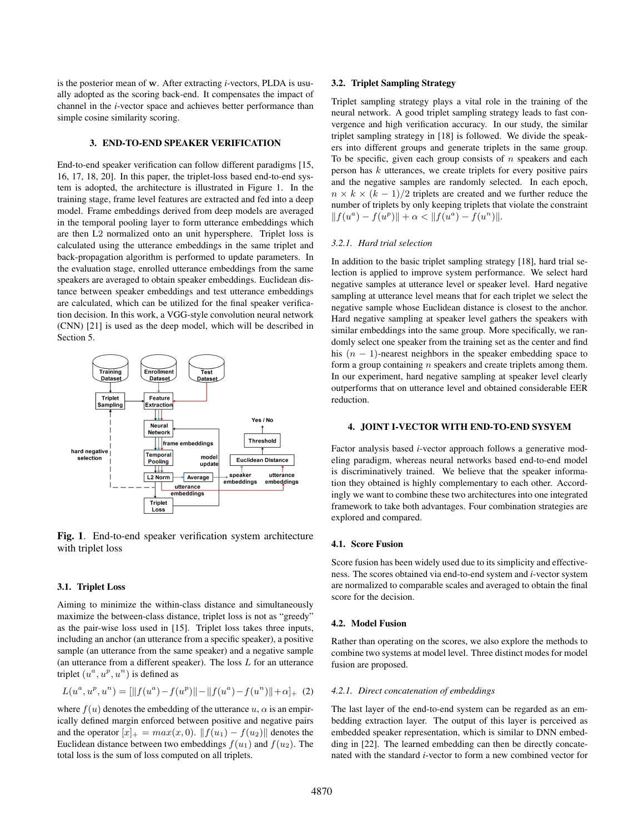is the posterior mean of w. After extracting *i*-vectors, PLDA is usually adopted as the scoring back-end. It compensates the impact of channel in the *i*-vector space and achieves better performance than simple cosine similarity scoring.

# 3. END-TO-END SPEAKER VERIFICATION

End-to-end speaker verification can follow different paradigms [15, 16, 17, 18, 20]. In this paper, the triplet-loss based end-to-end system is adopted, the architecture is illustrated in Figure 1. In the training stage, frame level features are extracted and fed into a deep model. Frame embeddings derived from deep models are averaged in the temporal pooling layer to form utterance embeddings which are then L2 normalized onto an unit hypersphere. Triplet loss is calculated using the utterance embeddings in the same triplet and back-propagation algorithm is performed to update parameters. In the evaluation stage, enrolled utterance embeddings from the same speakers are averaged to obtain speaker embeddings. Euclidean distance between speaker embeddings and test utterance embeddings are calculated, which can be utilized for the final speaker verification decision. In this work, a VGG-style convolution neural network (CNN) [21] is used as the deep model, which will be described in Section 5.



Fig. 1. End-to-end speaker verification system architecture with triplet loss

#### 3.1. Triplet Loss

Aiming to minimize the within-class distance and simultaneously maximize the between-class distance, triplet loss is not as "greedy" as the pair-wise loss used in [15]. Triplet loss takes three inputs, including an anchor (an utterance from a specific speaker), a positive sample (an utterance from the same speaker) and a negative sample (an utterance from a different speaker). The loss  $L$  for an utterance triplet  $(u^a, u^p, u^n)$  is defined as

$$
L(u^a, u^p, u^n) = [||f(u^a) - f(u^p)|| - ||f(u^a) - f(u^n)|| + \alpha]_+ (2)
$$

where  $f(u)$  denotes the embedding of the utterance  $u, \alpha$  is an empirically defined margin enforced between positive and negative pairs and the operator  $[x]_+ = max(x, 0)$ .  $||f(u_1) - f(u_2)||$  denotes the Euclidean distance between two embeddings  $f(u_1)$  and  $f(u_2)$ . The total loss is the sum of loss computed on all triplets.

## 3.2. Triplet Sampling Strategy

Triplet sampling strategy plays a vital role in the training of the neural network. A good triplet sampling strategy leads to fast convergence and high verification accuracy. In our study, the similar triplet sampling strategy in [18] is followed. We divide the speakers into different groups and generate triplets in the same group. To be specific, given each group consists of  $n$  speakers and each person has  $k$  utterances, we create triplets for every positive pairs and the negative samples are randomly selected. In each epoch,  $n \times k \times (k-1)/2$  triplets are created and we further reduce the number of triplets by only keeping triplets that violate the constraint  $||f(u^a) - f(u^p)|| + \alpha < ||f(u^a) - f(u^n)||.$ 

# *3.2.1. Hard trial selection*

In addition to the basic triplet sampling strategy [18], hard trial selection is applied to improve system performance. We select hard negative samples at utterance level or speaker level. Hard negative sampling at utterance level means that for each triplet we select the negative sample whose Euclidean distance is closest to the anchor. Hard negative sampling at speaker level gathers the speakers with similar embeddings into the same group. More specifically, we randomly select one speaker from the training set as the center and find his  $(n - 1)$ -nearest neighbors in the speaker embedding space to form a group containing  $n$  speakers and create triplets among them. In our experiment, hard negative sampling at speaker level clearly outperforms that on utterance level and obtained considerable EER reduction.

# 4. JOINT I-VECTOR WITH END-TO-END SYSYEM

Factor analysis based *i*-vector approach follows a generative modeling paradigm, whereas neural networks based end-to-end model is discriminatively trained. We believe that the speaker information they obtained is highly complementary to each other. Accordingly we want to combine these two architectures into one integrated framework to take both advantages. Four combination strategies are explored and compared.

# 4.1. Score Fusion

Score fusion has been widely used due to its simplicity and effectiveness. The scores obtained via end-to-end system and *i*-vector system are normalized to comparable scales and averaged to obtain the final score for the decision.

# 4.2. Model Fusion

Rather than operating on the scores, we also explore the methods to combine two systems at model level. Three distinct modes for model fusion are proposed.

#### *4.2.1. Direct concatenation of embeddings*

The last layer of the end-to-end system can be regarded as an embedding extraction layer. The output of this layer is perceived as embedded speaker representation, which is similar to DNN embedding in [22]. The learned embedding can then be directly concatenated with the standard *i*-vector to form a new combined vector for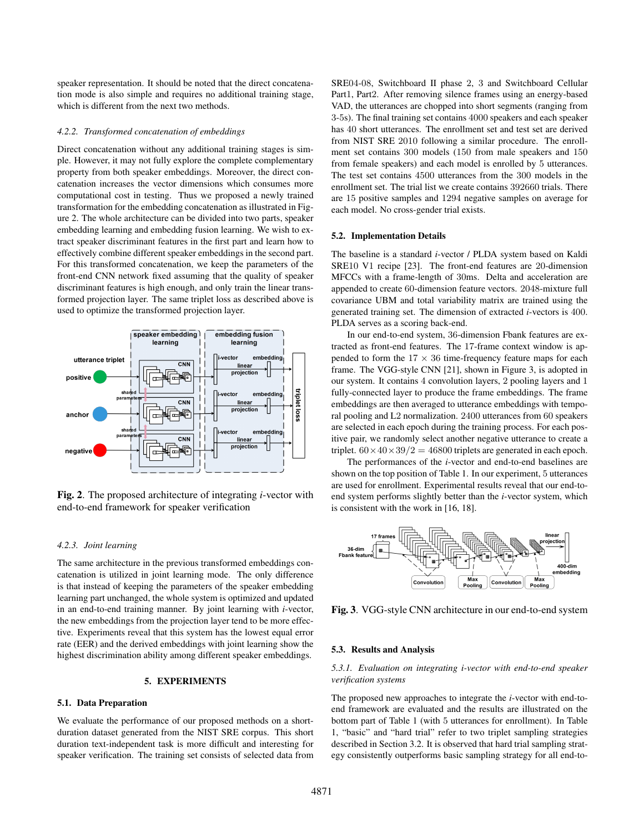speaker representation. It should be noted that the direct concatenation mode is also simple and requires no additional training stage, which is different from the next two methods.

#### *4.2.2. Transformed concatenation of embeddings*

Direct concatenation without any additional training stages is simple. However, it may not fully explore the complete complementary property from both speaker embeddings. Moreover, the direct concatenation increases the vector dimensions which consumes more computational cost in testing. Thus we proposed a newly trained transformation for the embedding concatenation as illustrated in Figure 2. The whole architecture can be divided into two parts, speaker embedding learning and embedding fusion learning. We wish to extract speaker discriminant features in the first part and learn how to effectively combine different speaker embeddings in the second part. For this transformed concatenation, we keep the parameters of the front-end CNN network fixed assuming that the quality of speaker discriminant features is high enough, and only train the linear transformed projection layer. The same triplet loss as described above is used to optimize the transformed projection layer.



Fig. 2. The proposed architecture of integrating *i*-vector with end-to-end framework for speaker verification

### *4.2.3. Joint learning*

The same architecture in the previous transformed embeddings concatenation is utilized in joint learning mode. The only difference is that instead of keeping the parameters of the speaker embedding learning part unchanged, the whole system is optimized and updated in an end-to-end training manner. By joint learning with *i*-vector, the new embeddings from the projection layer tend to be more effective. Experiments reveal that this system has the lowest equal error rate (EER) and the derived embeddings with joint learning show the highest discrimination ability among different speaker embeddings.

# 5. EXPERIMENTS

### 5.1. Data Preparation

We evaluate the performance of our proposed methods on a shortduration dataset generated from the NIST SRE corpus. This short duration text-independent task is more difficult and interesting for speaker verification. The training set consists of selected data from

SRE04-08, Switchboard II phase 2, 3 and Switchboard Cellular Part1, Part2. After removing silence frames using an energy-based VAD, the utterances are chopped into short segments (ranging from 3-5s). The final training set contains 4000 speakers and each speaker has 40 short utterances. The enrollment set and test set are derived from NIST SRE 2010 following a similar procedure. The enrollment set contains 300 models (150 from male speakers and 150 from female speakers) and each model is enrolled by 5 utterances. The test set contains 4500 utterances from the 300 models in the enrollment set. The trial list we create contains 392660 trials. There are 15 positive samples and 1294 negative samples on average for each model. No cross-gender trial exists.

#### 5.2. Implementation Details

The baseline is a standard *i*-vector / PLDA system based on Kaldi SRE10 V1 recipe [23]. The front-end features are 20-dimension MFCCs with a frame-length of 30ms. Delta and acceleration are appended to create 60-dimension feature vectors. 2048-mixture full covariance UBM and total variability matrix are trained using the generated training set. The dimension of extracted *i*-vectors is 400. PLDA serves as a scoring back-end.

In our end-to-end system, 36-dimension Fbank features are extracted as front-end features. The 17-frame context window is appended to form the  $17 \times 36$  time-frequency feature maps for each frame. The VGG-style CNN [21], shown in Figure 3, is adopted in our system. It contains 4 convolution layers, 2 pooling layers and 1 fully-connected layer to produce the frame embeddings. The frame embeddings are then averaged to utterance embeddings with temporal pooling and L2 normalization. 2400 utterances from 60 speakers are selected in each epoch during the training process. For each positive pair, we randomly select another negative utterance to create a triplet.  $60 \times 40 \times 39/2 = 46800$  triplets are generated in each epoch.

The performances of the *i*-vector and end-to-end baselines are shown on the top position of Table 1. In our experiment, 5 utterances are used for enrollment. Experimental results reveal that our end-toend system performs slightly better than the *i*-vector system, which is consistent with the work in [16, 18].



Fig. 3. VGG-style CNN architecture in our end-to-end system

#### 5.3. Results and Analysis

### *5.3.1. Evaluation on integrating i-vector with end-to-end speaker verification systems*

The proposed new approaches to integrate the *i*-vector with end-toend framework are evaluated and the results are illustrated on the bottom part of Table 1 (with 5 utterances for enrollment). In Table 1, "basic" and "hard trial" refer to two triplet sampling strategies described in Section 3.2. It is observed that hard trial sampling strategy consistently outperforms basic sampling strategy for all end-to-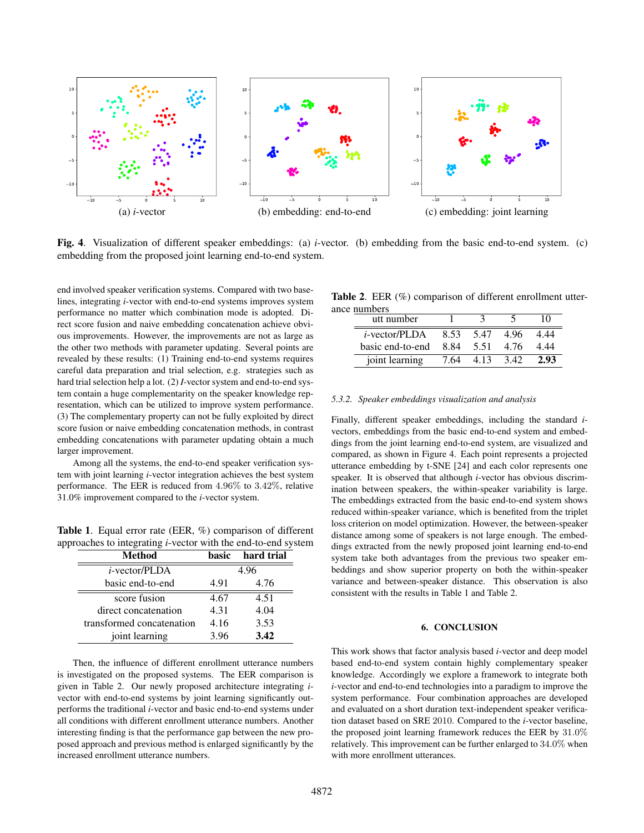

Fig. 4. Visualization of different speaker embeddings: (a) *i*-vector. (b) embedding from the basic end-to-end system. (c) embedding from the proposed joint learning end-to-end system.

end involved speaker verification systems. Compared with two baselines, integrating *i*-vector with end-to-end systems improves system performance no matter which combination mode is adopted. Direct score fusion and naive embedding concatenation achieve obvious improvements. However, the improvements are not as large as the other two methods with parameter updating. Several points are revealed by these results: (1) Training end-to-end systems requires careful data preparation and trial selection, e.g. strategies such as hard trial selection help a lot. (2) *I*-vector system and end-to-end system contain a huge complementarity on the speaker knowledge representation, which can be utilized to improve system performance. (3) The complementary property can not be fully exploited by direct score fusion or naive embedding concatenation methods, in contrast embedding concatenations with parameter updating obtain a much larger improvement.

Among all the systems, the end-to-end speaker verification system with joint learning *i*-vector integration achieves the best system performance. The EER is reduced from 4.96% to 3.42%, relative 31.0% improvement compared to the *i*-vector system.

Table 1. Equal error rate (EER, %) comparison of different approaches to integrating *i*-vector with the end-to-end system

| Method                    | hasic | hard trial |  |
|---------------------------|-------|------------|--|
| <i>i</i> -vector/PLDA     | 4.96  |            |  |
| basic end-to-end          | 4.91  | 4.76       |  |
| score fusion              | 4.67  | 4.51       |  |
| direct concatenation      | 4.31  | 4.04       |  |
| transformed concatenation | 4.16  | 3.53       |  |
| joint learning            | 3.96  | 3.42       |  |

Then, the influence of different enrollment utterance numbers is investigated on the proposed systems. The EER comparison is given in Table 2. Our newly proposed architecture integrating *i*vector with end-to-end systems by joint learning significantly outperforms the traditional *i*-vector and basic end-to-end systems under all conditions with different enrollment utterance numbers. Another interesting finding is that the performance gap between the new proposed approach and previous method is enlarged significantly by the increased enrollment utterance numbers.

Table 2. EER (%) comparison of different enrollment utterance numbers

| utt number            |      |      |      | 10   |
|-----------------------|------|------|------|------|
| <i>i</i> -vector/PLDA | 8.53 | 5.47 | 4.96 | 4 44 |
| basic end-to-end      | 8.84 | 5.51 | 4.76 | 4.44 |
| joint learning        | 7.64 | 4.13 | 3.42 | 2.93 |

### *5.3.2. Speaker embeddings visualization and analysis*

Finally, different speaker embeddings, including the standard *i*vectors, embeddings from the basic end-to-end system and embeddings from the joint learning end-to-end system, are visualized and compared, as shown in Figure 4. Each point represents a projected utterance embedding by t-SNE [24] and each color represents one speaker. It is observed that although *i*-vector has obvious discrimination between speakers, the within-speaker variability is large. The embeddings extracted from the basic end-to-end system shows reduced within-speaker variance, which is benefited from the triplet loss criterion on model optimization. However, the between-speaker distance among some of speakers is not large enough. The embeddings extracted from the newly proposed joint learning end-to-end system take both advantages from the previous two speaker embeddings and show superior property on both the within-speaker variance and between-speaker distance. This observation is also consistent with the results in Table 1 and Table 2.

## 6. CONCLUSION

This work shows that factor analysis based *i*-vector and deep model based end-to-end system contain highly complementary speaker knowledge. Accordingly we explore a framework to integrate both *i*-vector and end-to-end technologies into a paradigm to improve the system performance. Four combination approaches are developed and evaluated on a short duration text-independent speaker verification dataset based on SRE 2010. Compared to the *i*-vector baseline, the proposed joint learning framework reduces the EER by 31.0% relatively. This improvement can be further enlarged to 34.0% when with more enrollment utterances.